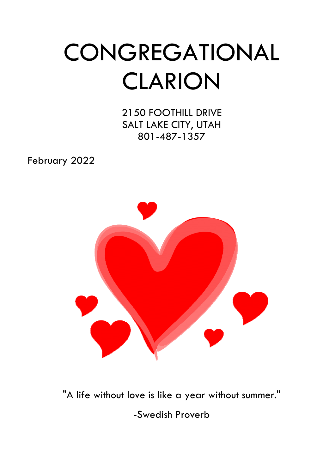# **CONGREGATIONAL** CLARION

2150 FOOTHILL DRIVE SALT LAKE CITY, UTAH 801-487-1357

February 2022



"A life without love is like a year without summer."

-Swedish Proverb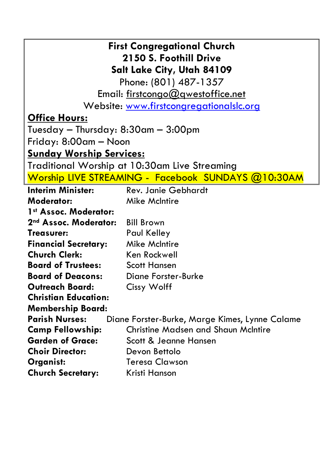| <b>First Congregational Church</b>                                      |                                                    |  |  |  |  |  |
|-------------------------------------------------------------------------|----------------------------------------------------|--|--|--|--|--|
| 2150 S. Foothill Drive                                                  |                                                    |  |  |  |  |  |
|                                                                         | Salt Lake City, Utah 84109                         |  |  |  |  |  |
|                                                                         | Phone: (801) 487-1357                              |  |  |  |  |  |
|                                                                         | Email: firstcongo@gwestoffice.net                  |  |  |  |  |  |
| Website: www.firstcongregationalslc.org                                 |                                                    |  |  |  |  |  |
| <b>Office Hours:</b>                                                    |                                                    |  |  |  |  |  |
| Tuesday — Thursday: 8:30am — 3:00pm                                     |                                                    |  |  |  |  |  |
| Friday: 8:00am — Noon                                                   |                                                    |  |  |  |  |  |
| <u> Sunday Worship Services:</u>                                        |                                                    |  |  |  |  |  |
|                                                                         | Traditional Worship at 10:30am Live Streaming      |  |  |  |  |  |
|                                                                         | Worship LIVE STREAMING - Facebook SUNDAYS @10:30AM |  |  |  |  |  |
| <b>Interim Minister:</b><br><b>Rev. Janie Gebhardt</b>                  |                                                    |  |  |  |  |  |
| <b>Moderator:</b>                                                       | <b>Mike McIntire</b>                               |  |  |  |  |  |
| 1 <sup>st</sup> Assoc. Moderator:                                       |                                                    |  |  |  |  |  |
| 2nd Assoc. Moderator:<br><b>Bill Brown</b>                              |                                                    |  |  |  |  |  |
| <b>Treasurer:</b><br>Paul Kelley                                        |                                                    |  |  |  |  |  |
| <b>Financial Secretary:</b>                                             | <b>Mike McIntire</b>                               |  |  |  |  |  |
| <b>Church Clerk:</b>                                                    | Ken Rockwell                                       |  |  |  |  |  |
| <b>Board of Trustees:</b>                                               | <b>Scott Hansen</b>                                |  |  |  |  |  |
| <b>Board of Deacons:</b><br><b>Diane Forster-Burke</b>                  |                                                    |  |  |  |  |  |
| <b>Outreach Board:</b><br>Cissy Wolff                                   |                                                    |  |  |  |  |  |
| <b>Christian Education:</b>                                             |                                                    |  |  |  |  |  |
| <b>Membership Board:</b>                                                |                                                    |  |  |  |  |  |
| <b>Parish Nurses:</b><br>Diane Forster-Burke, Marge Kimes, Lynne Calame |                                                    |  |  |  |  |  |
| <b>Camp Fellowship:</b>                                                 | <b>Christine Madsen and Shaun McIntire</b>         |  |  |  |  |  |
|                                                                         | <b>Garden of Grace:</b><br>Scott & Jeanne Hansen   |  |  |  |  |  |
| <b>Choir Director:</b><br>Devon Bettolo                                 |                                                    |  |  |  |  |  |
| <b>Teresa Clawson</b><br>Organist:                                      |                                                    |  |  |  |  |  |
| <b>Church Secretary:</b><br>Kristi Hanson                               |                                                    |  |  |  |  |  |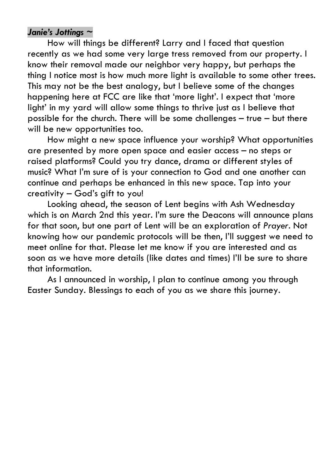#### *Janie's Jottings ~*

 How will things be different? Larry and I faced that question recently as we had some very large tress removed from our property. I know their removal made our neighbor very happy, but perhaps the thing I notice most is how much more light is available to some other trees. This may not be the best analogy, but I believe some of the changes happening here at FCC are like that 'more light'. I expect that 'more light' in my yard will allow some things to thrive just as I believe that possible for the church. There will be some challenges – true – but there will be new opportunities too.

 How might a new space influence your worship? What opportunities are presented by more open space and easier access – no steps or raised platforms? Could you try dance, drama or different styles of music? What I'm sure of is your connection to God and one another can continue and perhaps be enhanced in this new space. Tap into your creativity – God's gift to you!

 Looking ahead, the season of Lent begins with Ash Wednesday which is on March 2nd this year. I'm sure the Deacons will announce plans for that soon, but one part of Lent will be an exploration of *Prayer*. Not knowing how our pandemic protocols will be then, I'll suggest we need to meet online for that. Please let me know if you are interested and as soon as we have more details (like dates and times) I'll be sure to share that information.

 As I announced in worship, I plan to continue among you through Easter Sunday. Blessings to each of you as we share this journey.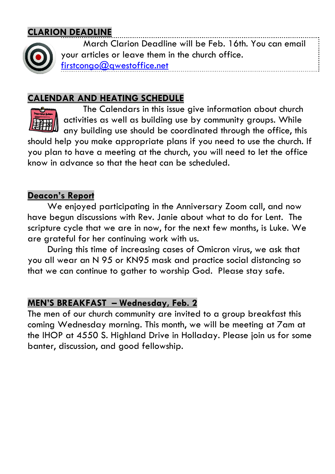## **CLARION DEADLINE**



 March Clarion Deadline will be Feb. 16th. You can email your articles or leave them in the church office. firstcongo@gwestoffice.net

## **CALENDAR AND HEATING SCHEDULE**



 The Calendars in this issue give information about church activities as well as building use by community groups. While any building use should be coordinated through the office, this

should help you make appropriate plans if you need to use the church. If you plan to have a meeting at the church, you will need to let the office know in advance so that the heat can be scheduled.

#### **Deacon's Report**

 We enjoyed participating in the Anniversary Zoom call, and now have begun discussions with Rev. Janie about what to do for Lent. The scripture cycle that we are in now, for the next few months, is Luke. We are grateful for her continuing work with us.

 During this time of increasing cases of Omicron virus, we ask that you all wear an N 95 or KN95 mask and practice social distancing so that we can continue to gather to worship God. Please stay safe.

#### **MEN'S BREAKFAST – Wednesday, Feb. 2**

The men of our church community are invited to a group breakfast this coming Wednesday morning. This month, we will be meeting at 7am at the IHOP at 4550 S. Highland Drive in Holladay. Please join us for some banter, discussion, and good fellowship.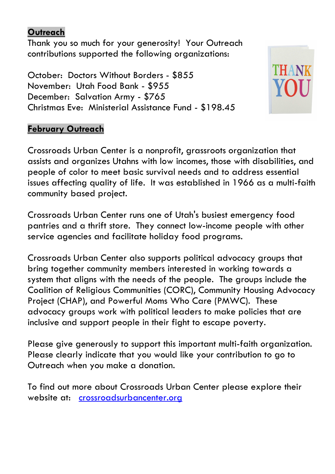#### **Outreach**

Thank you so much for your generosity! Your Outreach contributions supported the following organizations:

October: Doctors Without Borders - \$855 November: Utah Food Bank - \$955 December: Salvation Army - \$765 Christmas Eve: Ministerial Assistance Fund - \$198.45



#### **February Outreach**

Crossroads Urban Center is a nonprofit, grassroots organization that assists and organizes Utahns with low incomes, those with disabilities, and people of color to meet basic survival needs and to address essential issues affecting quality of life. It was established in 1966 as a multi-faith community based project.

Crossroads Urban Center runs one of Utah's busiest emergency food pantries and a thrift store. They connect low-income people with other service agencies and facilitate holiday food programs.

Crossroads Urban Center also supports political advocacy groups that bring together community members interested in working towards a system that aligns with the needs of the people. The groups include the Coalition of Religious Communities (CORC), Community Housing Advocacy Project (CHAP), and Powerful Moms Who Care (PMWC). These advocacy groups work with political leaders to make policies that are inclusive and support people in their fight to escape poverty.

Please give generously to support this important multi-faith organization. Please clearly indicate that you would like your contribution to go to Outreach when you make a donation.

To find out more about Crossroads Urban Center please explore their website at: crossroadsurbancenter.org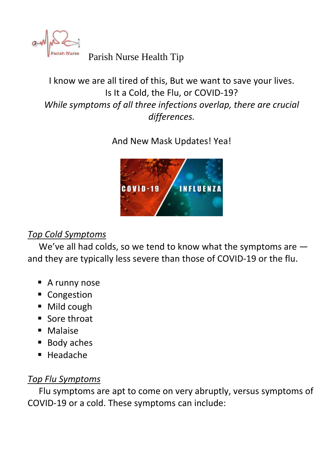

Parish Nurse Parish Nurse Health Tip

# I know we are all tired of this, But we want to save your lives. Is It a Cold, the Flu, or COVID-19? *While symptoms of all three infections overlap, there are crucial differences.*

# And New Mask Updates! Yea!



# *Top Cold Symptoms*

 We've all had colds, so we tend to know what the symptoms are and they are typically less severe than those of COVID-19 or the flu.

- A runny nose
- **Congestion**
- Mild cough
- Sore throat
- **Malaise**
- Body aches
- $H$ eadache

## *Top Flu Symptoms*

 Flu symptoms are apt to come on very abruptly, versus symptoms of COVID-19 or a cold. These symptoms can include: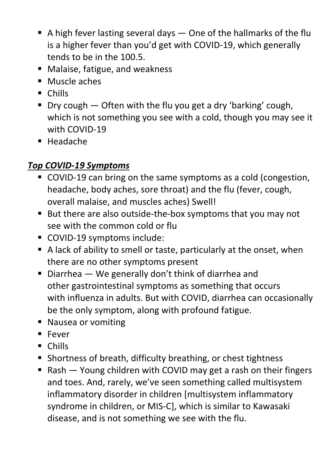- A high fever lasting several days  $-$  One of the hallmarks of the flu is a higher fever than you'd get with COVID-19, which generally tends to be in the 100.5.
- Malaise, fatigue, and weakness
- **Muscle aches**
- **Chills**
- Dry cough Often with the flu you get a dry 'barking' cough, which is not something you see with a cold, though you may see it with COVID-19
- Headache

# *Top COVID-19 Symptoms*

- COVID-19 can bring on the same symptoms as a cold (congestion, headache, body aches, sore throat) and the flu (fever, cough, overall malaise, and muscles aches) Swell!
- But there are also outside-the-box symptoms that you may not see with the common cold or flu
- COVID-19 symptoms include:
- A lack of ability to smell or taste, particularly at the onset, when there are no other symptoms present
- Diarrhea  $-$  We generally don't think of diarrhea and other gastrointestinal symptoms as something that occurs with influenza in adults. But with COVID, diarrhea can occasionally be the only symptom, along with profound fatigue.
- Nausea or vomiting
- **Fever**
- **Chills**
- **Shortness of breath, difficulty breathing, or chest tightness**
- Rash Young children with COVID may get a rash on their fingers and toes. And, rarely, we've seen something called multisystem inflammatory disorder in children [multisystem inflammatory syndrome in children, or MIS-C], which is similar to Kawasaki disease, and is not something we see with the flu.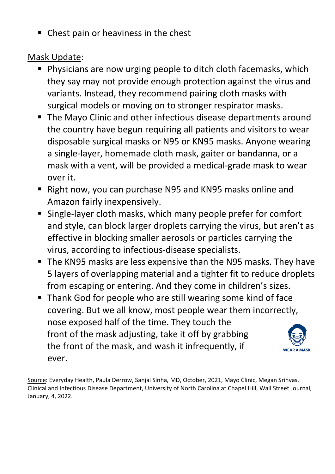• Chest pain or heaviness in the chest

Mask Update:

- **Physicians are now urging people to ditch cloth facemasks, which** they say may not provide enough protection against the virus and variants. Instead, they recommend pairing cloth masks with surgical models or moving on to stronger respirator masks.
- **The Mayo Clinic and other infectious disease departments around** the country have begun requiring all patients and visitors to wear disposable surgical masks or N95 or KN95 masks. Anyone wearing a single-layer, homemade cloth mask, gaiter or bandanna, or a mask with a vent, will be provided a medical-grade mask to wear over it.
- Right now, you can purchase N95 and KN95 masks online and Amazon fairly inexpensively.
- Single-layer cloth masks, which many people prefer for comfort and style, can block larger droplets carrying the virus, but aren't as effective in blocking smaller aerosols or particles carrying the virus, according to infectious-disease specialists.
- The KN95 masks are less expensive than the N95 masks. They have 5 layers of overlapping material and a tighter fit to reduce droplets from escaping or entering. And they come in children's sizes.
- Thank God for people who are still wearing some kind of face covering. But we all know, most people wear them incorrectly, nose exposed half of the time. They touch the front of the mask adjusting, take it off by grabbing the front of the mask, and wash it infrequently, if **WEAR A MASK** ever.

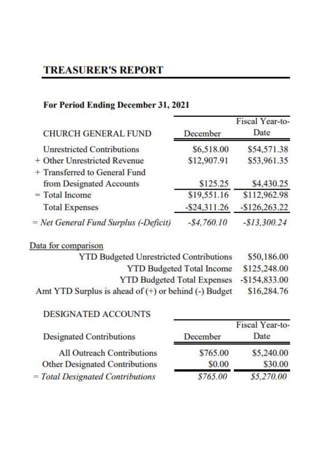# **TREASURER'S REPORT**

## For Period Ending December 31, 2021

| <b>CHURCH GENERAL FUND</b>            | December        | Fiscal Year-to-<br>Date |
|---------------------------------------|-----------------|-------------------------|
| <b>Unrestricted Contributions</b>     | \$6,518.00      | \$54,571.38             |
| + Other Unrestricted Revenue          | \$12,907.91     | \$53,961.35             |
| + Transferred to General Fund         |                 |                         |
| from Designated Accounts              | \$125.25        | \$4,430.25              |
| $=$ Total Income                      | \$19,551.16     | \$112,962.98            |
| <b>Total Expenses</b>                 | $-$ \$24,311.26 | $-$126,263.22$          |
| = Net General Fund Surplus (-Deficit) | $-$4,760.10$    | $-$13,300.24$           |

## Data for comparison

| <b>YTD Budgeted Unrestricted Contributions</b>           | \$50,186.00    |
|----------------------------------------------------------|----------------|
| <b>YTD Budgeted Total Income</b>                         | \$125,248.00   |
| <b>YTD Budgeted Total Expenses</b>                       | $-$154,833.00$ |
| Amt YTD Surplus is ahead of $(+)$ or behind $(-)$ Budget | \$16,284.76    |

### DESIGNATED ACCOUNTS

|          | <b>THOMAL LAGILAR</b> |
|----------|-----------------------|
| December | Date                  |
| \$765.00 | \$5,240.00            |
| \$0.00   | \$30.00               |
| \$765.00 | \$5,270.00            |
|          |                       |

Fiscal Vear-to-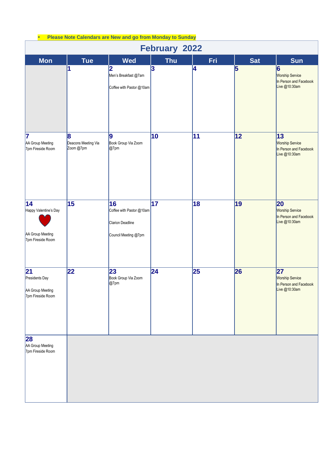| <b>Please Note Calendars are New and go from Monday to Sunday</b><br>$\bullet$<br><b>February 2022</b> |                                       |                                                                            |                         |     |                 |                                                                           |
|--------------------------------------------------------------------------------------------------------|---------------------------------------|----------------------------------------------------------------------------|-------------------------|-----|-----------------|---------------------------------------------------------------------------|
| <b>Mon</b>                                                                                             | <b>Tue</b>                            | <b>Wed</b>                                                                 | <b>Thu</b>              | Fri | <b>Sat</b>      | <b>Sun</b>                                                                |
|                                                                                                        | 1                                     | 2<br>Men's Breakfast @7am<br>Coffee with Pastor @10am                      | $\overline{\mathbf{3}}$ | 4   | $\overline{5}$  | 6<br><b>Worship Service</b><br>In Person and Facebook<br>Live @10:30am    |
| 17<br>AA Group Meeting<br>7pm Fireside Room                                                            | 8<br>Deacons Meeting Via<br>Zoom @7pm | 9<br>Book Group Via Zoom<br>@7pm                                           | 10                      | 11  | 12              | 13<br><b>Worship Service</b><br>In Person and Facebook<br>Live @10:30am   |
| $\overline{14}$<br>Happy Valentine's Day<br>AA Group Meeting<br>7pm Fireside Room                      | 15                                    | 16<br>Coffee with Pastor @10am<br>Clarion Deadline<br>Council Meeting @7pm | $\overline{17}$         | 18  | $\overline{19}$ | 20<br><b>Worship Service</b><br>In Person and Facebook<br>Live @10:30am   |
| 21<br>Presidents Day<br>AA Group Meeting<br>7pm Fireside Room                                          | 22                                    | 23<br>Book Group Via Zoom<br>@7pm                                          | 24                      | 25  | 26              | 27<br><b>Worship Service</b><br>In Person and Facebook<br>Live $@10:30am$ |
| 28<br>AA Group Meeting<br>7pm Fireside Room                                                            |                                       |                                                                            |                         |     |                 |                                                                           |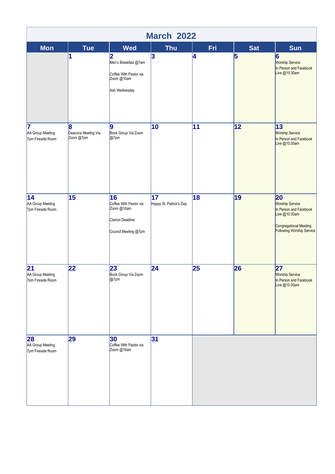| <b>March 2022</b>                                        |                                  |                                                                                        |                                            |                 |                 |                                                                                                                                |
|----------------------------------------------------------|----------------------------------|----------------------------------------------------------------------------------------|--------------------------------------------|-----------------|-----------------|--------------------------------------------------------------------------------------------------------------------------------|
| <b>Mon</b>                                               | <b>Tue</b><br>1                  | <b>Wed</b><br>2                                                                        | <b>Thu</b><br>3                            | Fri<br>4        | <b>Sat</b><br>5 | <b>Sun</b><br>6                                                                                                                |
|                                                          |                                  | Men's Breakfast @7am<br>Coffee With Pastor via<br>Zoom @10am<br>Ash Wednesday          |                                            |                 |                 | <b>Worship Service</b><br>In Person and Facebook<br>Live @10:30am                                                              |
| 7                                                        | 8                                | 9                                                                                      | 10                                         | $\overline{11}$ | $\overline{12}$ | 13                                                                                                                             |
| AA Group Meeting<br>7pm Fireside Room                    | Deacons Meeting Via<br>Zoom @7pm | Book Group Via Zoom<br>@7pm                                                            |                                            |                 |                 | <b>Worship Service</b><br>In Person and Facebook<br>Live @10:30am                                                              |
| 14<br>AA Group Meeting<br>7pm Fireside Room              | $\overline{15}$                  | 16<br>Coffee With Pastor via<br>Zoom @10am<br>Clarion Deadline<br>Council Meeting @7pm | $\overline{17}$<br>Happy St. Patrick's Day | 18              | $\overline{19}$ | 20<br><b>Worship Service</b><br>In Person and Facebook<br>Live @10:30am<br>Congregational Meeting<br>Following Worship Service |
| $\overline{21}$<br>AA Group Meeting<br>7pm Fireside Room | 22                               | 23<br>Book Group Via Zoom<br>$@7$ pm                                                   | $\overline{24}$                            | 25              | 26              | 27<br><b>Worship Service</b><br>In Person and Facebook<br>Live @10:30am                                                        |
| 28<br>AA Group Meeting<br>7pm Fireside Room              | 29                               | 30<br>Coffee With Pastor via<br>Zoom @10am                                             | 31                                         |                 |                 |                                                                                                                                |